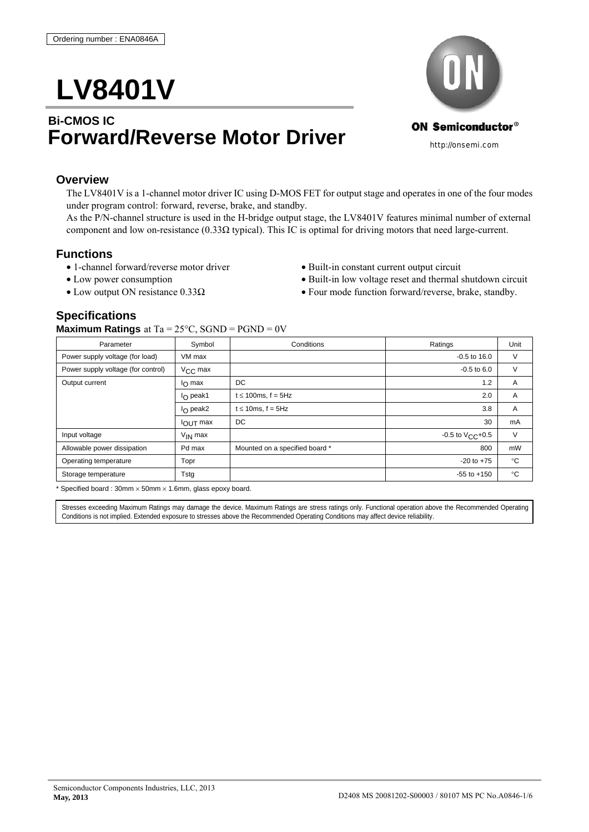# **LV8401V**

# **Bi-CMOS IC Forward/Reverse Motor Driver**



#### **Overview**

The LV8401V is a 1-channel motor driver IC using D-MOS FET for output stage and operates in one of the four modes under program control: forward, reverse, brake, and standby.

As the P/N-channel structure is used in the H-bridge output stage, the LV8401V features minimal number of external component and low on-resistance (0.33 $\Omega$  typical). This IC is optimal for driving motors that need large-current.

#### **Functions**

- 1-channel forward/reverse motor driver Built-in constant current output circuit
- 
- 
- 
- Low power consumption Built-in low voltage reset and thermal shutdown circuit
- Low output ON resistance  $0.33\Omega$  Four mode function forward/reverse, brake, standby.

### **Specifications**

#### **Maximum Ratings** at  $Ta = 25^{\circ}C$ ,  $SGND = PGND = 0V$

| $\sim$ $\sim$ $\sim$ $\sim$ $\sim$<br>. |                    |                                |                          |              |  |
|-----------------------------------------|--------------------|--------------------------------|--------------------------|--------------|--|
| Symbol<br>Parameter                     |                    | Conditions                     | Ratings                  | Unit         |  |
| Power supply voltage (for load)         | VM max             |                                | $-0.5$ to 16.0           | $\vee$       |  |
| Power supply voltage (for control)      | $V_{\rm CC}$ max   |                                | $-0.5$ to $6.0$          | $\vee$       |  |
| Output current                          | $I_{\Omega}$ max   | DC                             | 1.2                      | A            |  |
|                                         | $I_{\Omega}$ peak1 | $t \leq 100$ ms, f = 5Hz       | 2.0                      | A            |  |
|                                         | $I_{\Omega}$ peak2 | $t \leq 10$ ms, f = 5Hz        | 3.8                      | A            |  |
|                                         | $IOUT$ max         | DC                             | 30                       | mA           |  |
| Input voltage                           | $V_{IN}$ max       |                                | $-0.5$ to $V_{C}C + 0.5$ | $\vee$       |  |
| Allowable power dissipation             | Pd max             | Mounted on a specified board * | 800                      | mW           |  |
| Operating temperature                   | Topr               |                                | $-20$ to $+75$           | $^{\circ}$ C |  |
| Storage temperature                     | Tstg               |                                | $-55$ to $+150$          | $^{\circ}C$  |  |
|                                         |                    |                                |                          |              |  |

\* Specified board : 30mm  $\times$  50mm  $\times$  1.6mm, glass epoxy board.

Stresses exceeding Maximum Ratings may damage the device. Maximum Ratings are stress ratings only. Functional operation above the Recommended Operating Conditions is not implied. Extended exposure to stresses above the Recommended Operating Conditions may affect device reliability.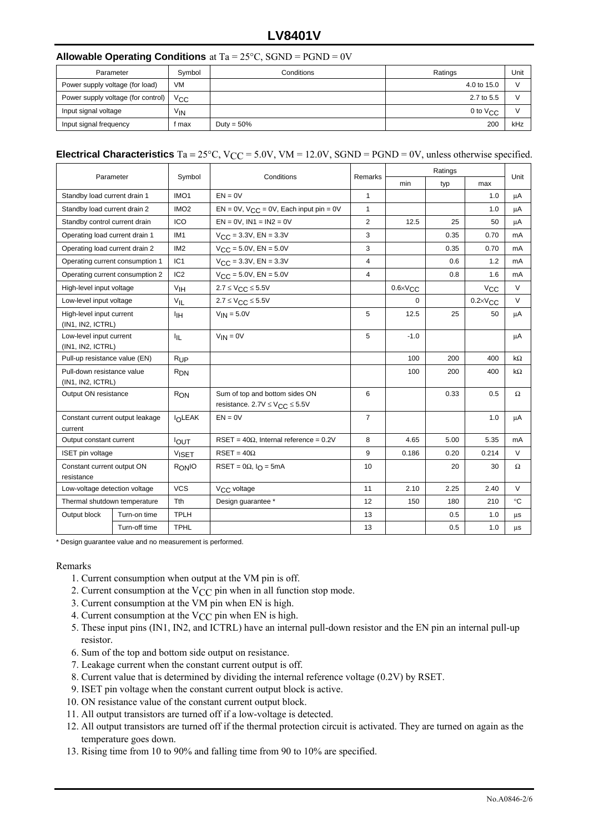## **LV8401V**

#### **Allowable Operating Conditions** at Ta = 25°C, SGND = PGND = 0V

| Parameter                          | Symbol          | Conditions    | Ratings       | Unit |
|------------------------------------|-----------------|---------------|---------------|------|
| Power supply voltage (for load)    | VM              |               | 4.0 to 15.0   |      |
| Power supply voltage (for control) | $V_{\rm CC}$    |               | 2.7 to 5.5    |      |
| Input signal voltage               | V <sub>IN</sub> |               | 0 to $V_{CC}$ |      |
| Input signal frequency             | i max           | Duty = $50\%$ | 200           | kHz  |

#### **Electrical Characteristics** Ta = 25°C, V<sub>CC</sub> = 5.0V, VM = 12.0V, SGND = PGND = 0V, unless otherwise specified.

| Parameter                                                     |                                 |                      |                                                                            |                | Ratings             |      |                     |             |
|---------------------------------------------------------------|---------------------------------|----------------------|----------------------------------------------------------------------------|----------------|---------------------|------|---------------------|-------------|
|                                                               |                                 | Symbol<br>Conditions |                                                                            | Remarks        | min                 | typ  | max                 | Unit        |
| IMO <sub>1</sub><br>$EN = 0V$<br>Standby load current drain 1 |                                 |                      | $\mathbf{1}$                                                               |                |                     | 1.0  | μA                  |             |
| Standby load current drain 2                                  |                                 | IMO <sub>2</sub>     | $EN = 0V$ , $V_{CC} = 0V$ , Each input pin = 0V                            | $\mathbf{1}$   |                     |      | 1.0                 | μA          |
| Standby control current drain                                 |                                 | ICO                  | $EN = 0V$ , $IN1 = IN2 = 0V$                                               | $\overline{2}$ | 12.5                | 25   | 50                  | μA          |
| Operating load current drain 1                                |                                 | IM <sub>1</sub>      | $V_{\text{CC}} = 3.3V$ , EN = 3.3V                                         | 3              |                     | 0.35 | 0.70                | mA          |
| Operating load current drain 2                                |                                 | IM <sub>2</sub>      | $V_{\text{CC}} = 5.0V$ , EN = 5.0V                                         | 3              |                     | 0.35 | 0.70                | mA          |
|                                                               | Operating current consumption 1 | IC <sub>1</sub>      | $V_{\text{CC}} = 3.3V$ , EN = 3.3V                                         | $\overline{4}$ |                     | 0.6  | 1.2                 | mA          |
|                                                               | Operating current consumption 2 | IC <sub>2</sub>      | $V_{\text{CC}} = 5.0V$ , EN = 5.0V                                         | $\overline{4}$ |                     | 0.8  | 1.6                 | mA          |
| High-level input voltage                                      |                                 | V <sub>IH</sub>      | $2.7 \leq V_{CC} \leq 5.5V$                                                |                | $0.6 \times V_{CC}$ |      | $V_{\rm CC}$        | $\vee$      |
| Low-level input voltage                                       |                                 | $V_{IL}$             | $2.7 \leq V_{CC} \leq 5.5V$                                                |                | $\Omega$            |      | $0.2 \times V_{CC}$ | $\vee$      |
| High-level input current<br>(IN1, IN2, ICTRL)                 |                                 | ŀщ                   | $V_{IN} = 5.0V$                                                            | 5              | 12.5                | 25   | 50                  | μA          |
| Low-level input current<br>(IN1, IN2, ICTRL)                  |                                 | ЧL.                  | $V_{IN} = 0V$                                                              | 5              | $-1.0$              |      |                     | μA          |
| Pull-up resistance value (EN)                                 |                                 | $R_{UP}$             |                                                                            |                | 100                 | 200  | 400                 | kΩ          |
| Pull-down resistance value<br>(IN1, IN2, ICTRL)               |                                 | $R_{DN}$             |                                                                            |                | 100                 | 200  | 400                 | kΩ          |
| Output ON resistance                                          |                                 | $R_{ON}$             | Sum of top and bottom sides ON<br>resistance. $2.7V \leq V_{CC} \leq 5.5V$ | 6              |                     | 0.33 | 0.5                 | $\Omega$    |
| Constant current output leakage<br>current                    |                                 | <b>IOLEAK</b>        | $EN = 0V$                                                                  | $\overline{7}$ |                     |      | 1.0                 | μA          |
| Output constant current                                       |                                 | <b>IOUT</b>          | $RSET = 40\Omega$ , Internal reference = 0.2V                              | 8              | 4.65                | 5.00 | 5.35                | mA          |
| ISET pin voltage                                              |                                 | <b>VISET</b>         | $RSET = 40\Omega$                                                          | 9              | 0.186               | 0.20 | 0.214               | $\vee$      |
| Constant current output ON<br>resistance                      |                                 | R <sub>ONIO</sub>    | RSET = $0\Omega$ , $I_{\Omega}$ = 5mA                                      | 10             |                     | 20   | 30                  | Ω           |
| Low-voltage detection voltage                                 |                                 | <b>VCS</b>           | V <sub>CC</sub> voltage                                                    | 11             | 2.10                | 2.25 | 2.40                | $\vee$      |
| Thermal shutdown temperature                                  |                                 | Tth                  | Design guarantee *                                                         | 12             | 150                 | 180  | 210                 | $^{\circ}C$ |
| Output block                                                  | Turn-on time                    | <b>TPLH</b>          |                                                                            | 13             |                     | 0.5  | 1.0                 | μs          |
|                                                               | Turn-off time                   | <b>TPHL</b>          |                                                                            | 13             |                     | 0.5  | 1.0                 | $\mu$ s     |

\* Design guarantee value and no measurement is performed.

#### Remarks

- 1. Current consumption when output at the VM pin is off.
- 2. Current consumption at the  $V_{CC}$  pin when in all function stop mode.
- 3. Current consumption at the VM pin when EN is high.
- 4. Current consumption at the  $V_{CC}$  pin when EN is high.
- 5. These input pins (IN1, IN2, and ICTRL) have an internal pull-down resistor and the EN pin an internal pull-up resistor.
- 6. Sum of the top and bottom side output on resistance.
- 7. Leakage current when the constant current output is off.
- 8. Current value that is determined by dividing the internal reference voltage (0.2V) by RSET.
- 9. ISET pin voltage when the constant current output block is active.
- 10. ON resistance value of the constant current output block.
- 11. All output transistors are turned off if a low-voltage is detected.
- 12. All output transistors are turned off if the thermal protection circuit is activated. They are turned on again as the temperature goes down.
- 13. Rising time from 10 to 90% and falling time from 90 to 10% are specified.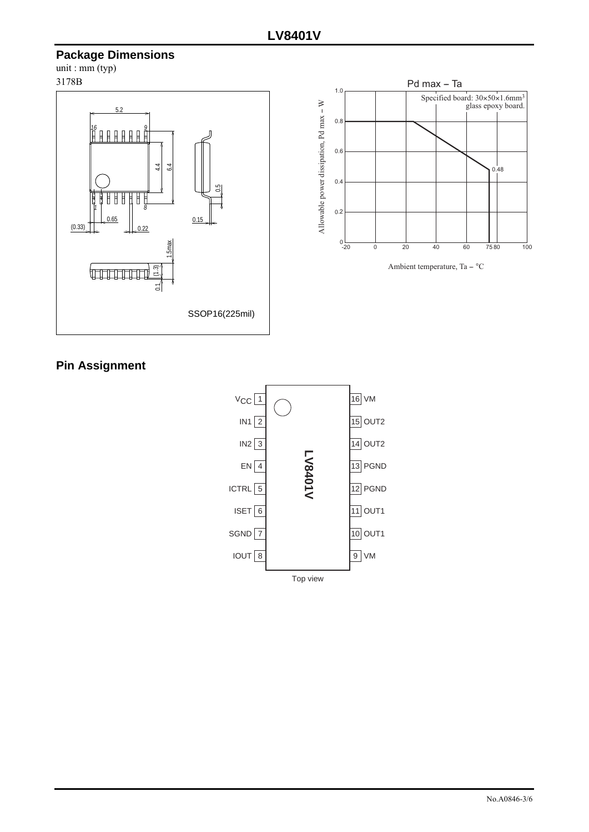# **Package Dimensions**

unit :  $mm$  (typ) 3178B





Ambient temperature, Ta  $-$  °C

## **Pin Assignment**

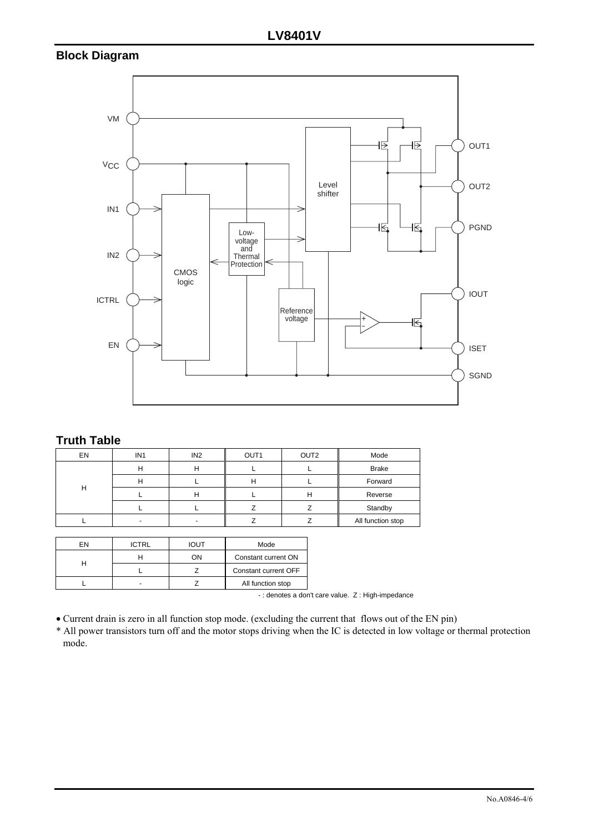# **Block Diagram**



## **Truth Table**

| EN | IN <sub>1</sub> | IN <sub>2</sub> | OUT <sub>1</sub> | OUT <sub>2</sub> | Mode              |
|----|-----------------|-----------------|------------------|------------------|-------------------|
|    | п               | ш               |                  |                  | <b>Brake</b>      |
| Н  | п               |                 |                  |                  | Forward           |
|    |                 | п               |                  | п                | Reverse           |
|    |                 |                 |                  |                  | Standby           |
|    |                 |                 |                  |                  | All function stop |

| FN | <b>ICTRL</b> | <b>IOUT</b> | Mode                 |  |
|----|--------------|-------------|----------------------|--|
|    |              | OΝ          | Constant current ON  |  |
|    |              |             | Constant current OFF |  |
|    |              |             | All function stop    |  |

- : denotes a don't care value. Z : High-impedance

• Current drain is zero in all function stop mode. (excluding the current that flows out of the EN pin)

\* All power transistors turn off and the motor stops driving when the IC is detected in low voltage or thermal protection mode.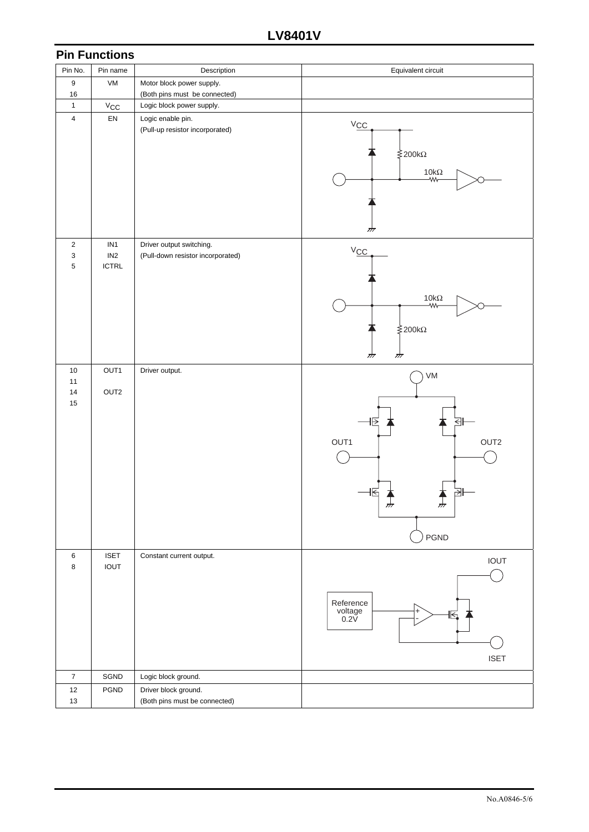|                         | <b>Pin Functions</b>         |                                                               |                                                                                             |
|-------------------------|------------------------------|---------------------------------------------------------------|---------------------------------------------------------------------------------------------|
| Pin No.                 | Pin name                     | Description                                                   | Equivalent circuit                                                                          |
| 9                       | VM                           | Motor block power supply.                                     |                                                                                             |
| 16                      |                              | (Both pins must be connected)                                 |                                                                                             |
| $\mathbf{1}$            | $V_{\rm CC}$                 | Logic block power supply.                                     |                                                                                             |
| $\overline{\mathbf{4}}$ | EN                           | Logic enable pin.<br>(Pull-up resistor incorporated)          | $V_{\underline{CC}}$<br>≹200kΩ<br>$10\mathrm{k}\Omega$<br>₩<br>क्र                          |
| $\sqrt{2}$<br>3<br>5    | IN1<br>IN2<br>ICTRL          | Driver output switching.<br>(Pull-down resistor incorporated) | $V_{\underline{CC}}$<br>$10\mathrm{k}\Omega$<br>₩<br>-200kΩ<br>गंग<br>गंग                   |
| $10$                    | OUT1                         | Driver output.                                                | VM                                                                                          |
| 11<br>14<br>15          | OUT2                         |                                                               | 뢰<br> →<br>OUT1<br>OUT2<br>均<br>티<br>¥.<br>$\sum_{i=1}^{n}$<br>$\frac{1}{\sqrt{2}}$<br>PGND |
| $\,6\,$<br>$\bf 8$      | <b>ISET</b><br><b>IOUT</b>   | Constant current output.                                      | IOUT<br>Reference<br>voltage<br>0.2V<br>+<br>⊾⊫<br><b>ISET</b>                              |
| $\overline{7}$          | SGND                         | Logic block ground.                                           |                                                                                             |
| $12\,$                  | $\ensuremath{\mathsf{PGND}}$ | Driver block ground.                                          |                                                                                             |
| 13                      |                              | (Both pins must be connected)                                 |                                                                                             |